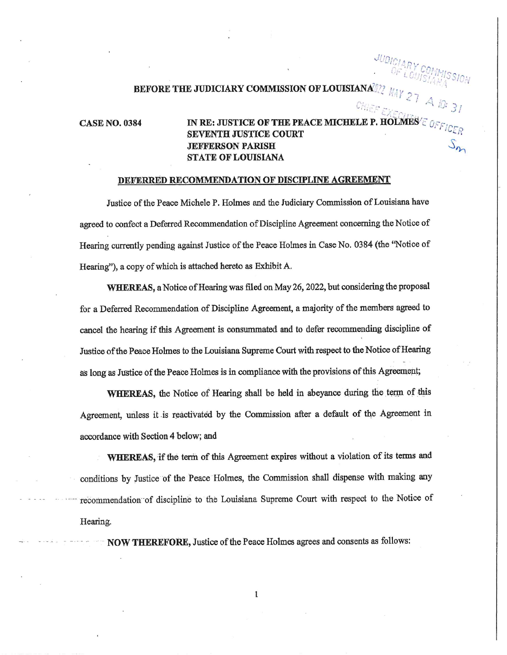# JUDICIARY COMMISSION **BEFORE THE JUDICIARY COMMISSION OF LOUISIANA**

#### **CASE NO. 0384**

### IN RE: JUSTICE OF THE PEACE MICHELE P. HOLMES E AL **SEVENTH JUSTICE COURT JEFFERSON PARISH STATE OF LOUISIANA**

#### DEFERRED RECOMMENDATION OF DISCIPLINE AGREEMENT

Justice of the Peace Michele P. Holmes and the Judiciary Commission of Louisiana have agreed to confect a Deferred Recommendation of Discipline Agreement concerning the Notice of Hearing currently pending against Justice of the Peace Holmes in Case No. 0384 (the "Notice of Hearing"), a copy of which is attached hereto as Exhibit A.

WHEREAS, a Notice of Hearing was filed on May 26, 2022, but considering the proposal for a Deferred Recommendation of Discipline Agreement, a majority of the members agreed to cancel the hearing if this Agreement is consummated and to defer recommending discipline of Justice of the Peace Holmes to the Louisiana Supreme Court with respect to the Notice of Hearing as long as Justice of the Peace Holmes is in compliance with the provisions of this Agreement;

WHEREAS, the Notice of Hearing shall be held in abeyance during the term of this Agreement, unless it is reactivated by the Commission after a default of the Agreement in accordance with Section 4 below; and

WHEREAS, if the term of this Agreement expires without a violation of its terms and conditions by Justice of the Peace Holmes, the Commission shall dispense with making any recommendation of discipline to the Louisiana Supreme Court with respect to the Notice of Hearing.

**NOW THEREFORE, Justice of the Peace Holmes agrees and consents as follows:**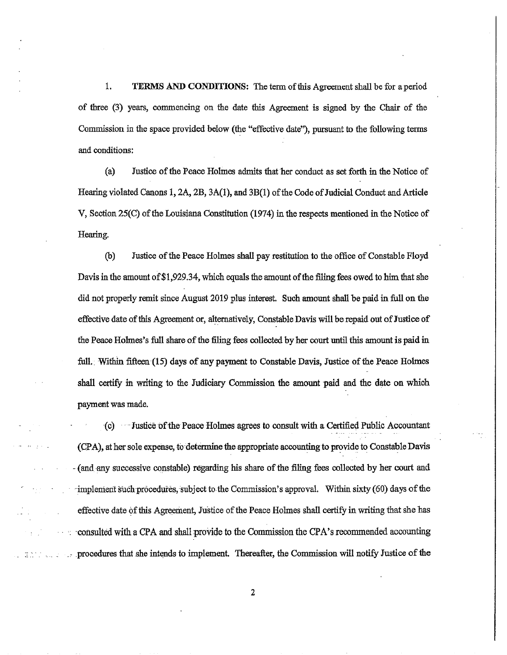1. TERMS AND CONDITIONS: The term of this Agreement shall be for a period of three (3) years, commencing on the date tbis Agreement is signed by the Chair of the Commission in the space provided below (the "effective date"), pursuant to the following terms and conditions:

(a) Justice of the Peace Holmes admits that her conduct as set forth in the Notice of Hearing violated Canons 1,  $2A$ ,  $2B$ ,  $3A(1)$ , and  $3B(1)$  of the Code of Judicial Conduct and Article V, Section 25(C) of the Louisiana Constitution (1974) in the respects mentioned in the Notice of Hearing.

(b) Justice of the Peace Holmes shall pay restitution to the office of Constable Floyd Davis in the amount of \$1,929.34, which equals the amount of the filing fees owed to him that she did not properly remit since August 2019 plus interest. Such amount shall be paid in full on the effective date of this Agreement or, alternatively, Constable Davis will be repaid out of Justice of the Peace Holmes's full share of the filing fees collected byher court until this mnount is paid in full, Within fifteen (15) days of any payment to Constable Davis, Justice of the Peace Holmes shall certify in writing to the Judiciary Commission the amount paid and the date on which payment was made,

(c) Justice of-the Peace Holmes agrees to consult with a Certified Public Accountant (CPA), ather sole expense, to determine the appropriate accountingto provide to ConstableDavis - (and any successive constable) regarding his share of the filing fees collected by her court and  $\cdot$ implement such procedures, subject to the Commission's approval. Within sixty (60) days of the effective date of this Agreement, Justice of the Peace Holmes shall certify in writing that she has -consulted with a CPA and shall provide to the Commission the CPA's recommended accounting procedures that she intends to implement. Thereafter, the Commission will notify Justice of the

医细胞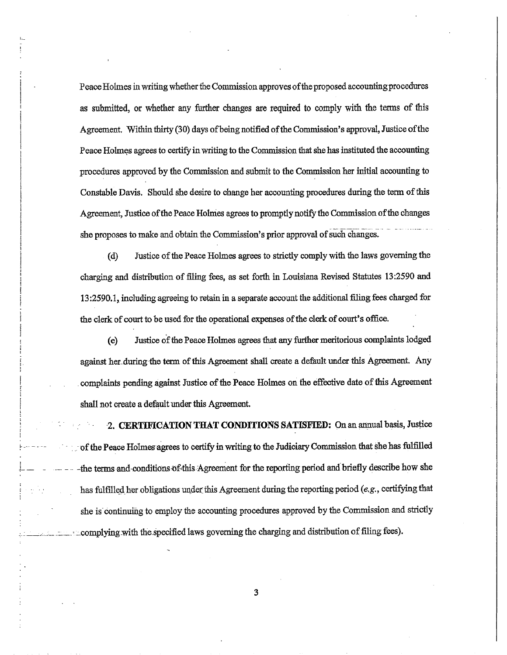Peace Holmes in writing whether the Commission approves of the proposed accounting procedures as submitted, or whether any further changes are required to comply with the terms of this Agreement, Within thirty (30) days of being notified of the Commission's approval, Justice of the Peace Holmes agrees to certify in writing to the Commission that she has instituted the accounting procedures approved by the Commission and submit to the Commission her initial accountingto Constable Davis. Should she desire to change her accounting procedures during the term of this Agreement, Justice of the Peace Holmes agrees to promptly notify the Commission of the changes she proposes to make and obtain the Commission's prior approval of such changcs.

(d) Justice of the Peace Holmes agrees to strictly comply with the laws governing the charging and distribution of ffling fees, as set forth in Louisiana Revised Statutes 13:2590 and 13:2590.1, including agreeing to retain in a separate account the additional filing fees charged for the clerk of court to be used for the operational expenses of the clerk of court's office.

(e) Justice of the Peace Holmes agrees that any further meritorious complaints lodged against her during the term of this Agreement shall create a default under this Agreement. Any complaints pending against Justice of the Peace Holmes on the effective date of this Agreement shall not create a default under this Agreement.

2. CERTIFICATION THAT CONDITIONS SATISFIED: On an annual basis, Justice of the Peace Holmes agrees to certify in writing to the Judiciary Commission that she has fulfilled -the terms and-conditions of this Agreement for the reporting period and briefly describe how she has fulfilled her obligations under this Agreement during the reporting period (e,g., certifying that she is continuing to employ the accounting procedures approved by the Commission and strictly ... complying with the specified laws governing the charging and distribution of filing fees).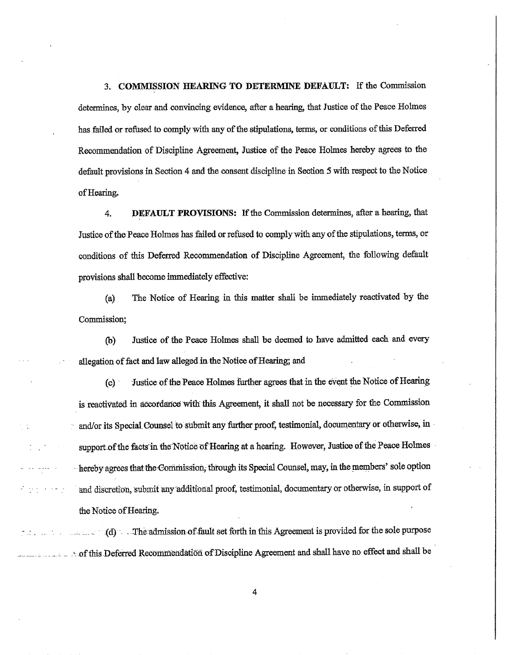3, COMMISSION nEARING TO DETERMINE DEFAULT: If the Commission determines, by clear and convincing evidence, after a hearing, that Justice of the Peace Holmes has failed or refused to comply with any of the stipulations, terms, or conditions of this Deferred Recommendation of Discipline Agreement, Justice of the Peace Holmes hereby agrees to the default provisions in Section 4 and the consent discipline in Section 5 with respect to the Notice of Hearing.

4. DEFAULT PROVISIONS: If the Commission determines, after a hearing, that Justice of the Peace Holmes has failed orrefused to complywith any of the stipulations, terms, or conditions of this Deferred Recommendation of Discipline Agreement, the following default provisions shall become immediately effective:

(a) The Notice of Heat'ng in tbis matter shall be tmmediately reactivated by the Commission,

(b) Justice of the Peace Holmes shall be deemal to have admitted each and every allegation of fact and law alleged in the Notice of Hearing; and

(c) Justice of the Peace Holmes further agrees that in the event the Notice of Hearing is reactivated in accordance with this Agreement, it shall not be necessary for the Commission and/or its Special Counsel to submit any further proof, testimonial, documentary or otherwise, in support of the facts in the Notice of Hearing at a hearing. However, Justice of the Peace Holmes - hereby agrees that the Commission, through its Special Counsel, may, in the members' sole option and discretion, submit any additional proof, testimonial, documentary or otherwise, in support of the Notice of Hearing,

1. The admission-of-fault set forth in this Agreement is provided for the sole purpose of this Deferred Recommendation of Discipline Agreement and shall have no effect and shall be

 $\alpha$  ,  $\alpha$  ,  $\alpha$  ,  $\beta$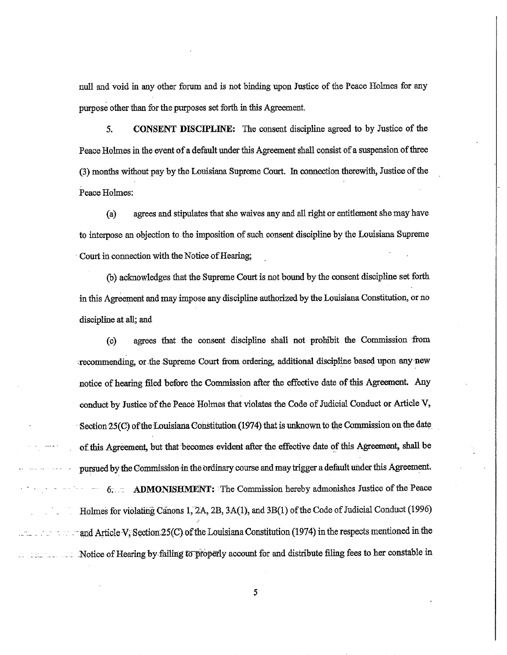null and void in any other forum and is not binding upon Justice of the Peace Holmes for any puyose other than for the purposes set forth in this Agreement.

5. CONSENT DISCIPLINE: The consent discipline agreed to by Justice of the Peace Holmes in the event of a default under this Agreement shall consist of a suspension of three (3) months without pay by the Louisiana Supreme Court. In connection therewith, Justice of the Peace Holmes:

(a) agrees and stipulates that she waives any and all right or entitlement she may have to interpose an objection to the imposition of such consent discipline by the Louisiana Supreme Court in connection with the Notice of Hearing;

(b) acknowledges that the Supreme Court is not bound by the consent discipline set forth in this Agreement and may impose any discipline authorized by the Louisiana Constitution, or no discipline at all; and

(c) agrees that the consent discipline shall not prohibit the Commission from recommending,or-the:SupremeCourt from ordering, additional discipline basedupon any new notice of hearing filed before the Commission after the effective date of this Agreement. Any conduct by Justice of the Peace Holmes that violates the Code of Judicial Conduct or Article V, Section  $25(C)$  of the Louisiana Constitution (1974) that is unknown to the Commission on the date of this Agreement, but that becomes evident after the effective date of this Agreement, shall be pursued by the Commission in the ordinary course and may trigger a default under this Agreement.  $-$  6;  $-$  ADMONISHMENT: The Commission hereby admonishes Justice of the Peace Holmes for violating Canons 1,  $2A$ ,  $2B$ ,  $3A(1)$ , and  $3B(1)$  of the Code of Judicial Conduct (1996) and Article V, Section 25(C) of the Louisiana Constitution (1974) in the respects mentioned in the Notice of Hearing by failing to properly account for and distribute filing fees to her constable in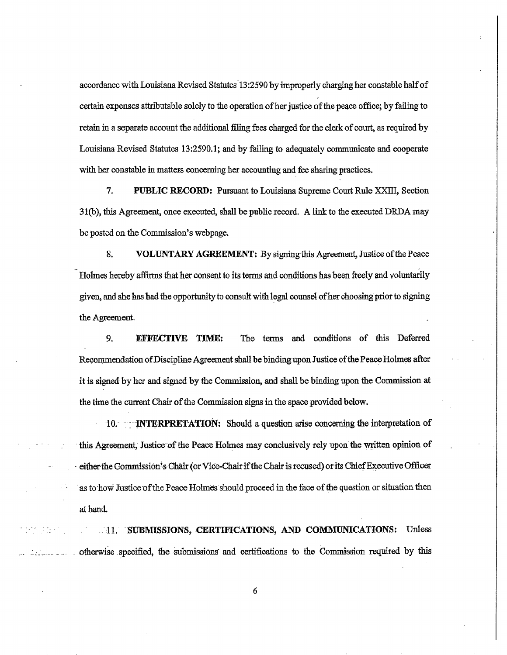accordance with Louisiana Revised Statutes 13:2590 by improperly charging her constable half of certain expenses attributable solely to the operation of her justice of the peace office; by failing to retain in a separate account the additional filing fees charged for the clerk of court, as required by Louisiana Revised Statutes 13:2590.1; and by failing to adequately communicate and cooperate with her constable in matters concerning her accounting and fee sharing practices.

7. PUBLIC RECORD: Pursuant to Louisiana Supreme Court Rule XXIII, Section 31(b), this Agreement, once executed, shall be public record. A link to the executed DRDA may be posted on the Commission's webpage.

8. VOLUNTARY AGREEMENT: By signing this Agreement, Justice of the Peace Holmes hereby affirms that her consent to its terms and conditions has been freely and voluntarily given, and she has had the opportunity to consult with legal counsel of her choosing prior to signing the Agreement.

9. **EFFECTIVE TIME:** The terms and conditions of this Deferred Recommendation of Discipline Agreement shall be binding upon Justice of the Peace Holmes after it is signed by her and signed by the Commission, and shall be binding upon the Commission at the time the current Chair of the Commission signs in the space provided below.

10. **INTERPRETATION:** Should a question arise concerning the interpretation of this Agreement, Justice of the Peace Holmes may conclusively rely upon the written opinion of either the Commission's Chair (or Vice-Chair if the Chair is recused) or its Chief Executive Officer as to how Justice of the Peace Holmes should proceed in the face of the question or situation then at hand.

...11. SUBMISSIONS, CERTIFICATIONS, AND COMMUNICATIONS: Unless otherwise specified, the submissions and certifications to the Commission required by this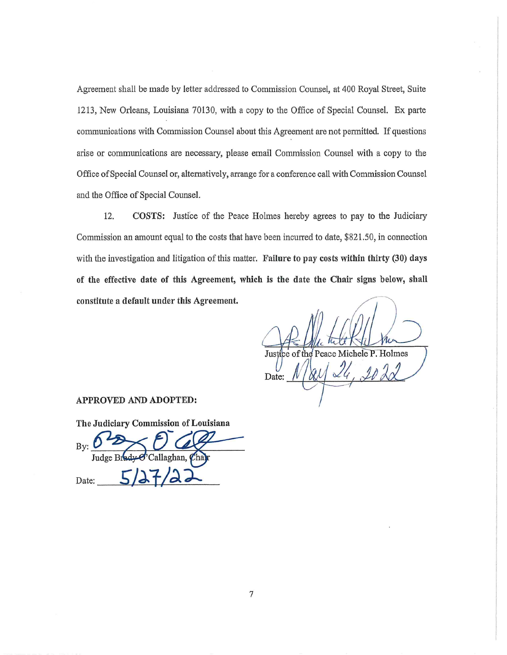Agreement shall be made by letter addressed to Commission Counsel, at 400 Royal Street, Suite 1213, New Orleans, Louisiana 70130, with a copy to the Office of Special Counsel. Ex parte communications with Commission Counsel about this Agreement are not permitted. If questions arise or communications are necessary, please email Commission Counsel with a copy to the Office of Special Counsel or, alternatively, arrange for a conference call with Commission Counsel and the Office of Special Counsel.

12. COSTS: Justice of the Peace Holmes hereby agrees to pay to the Judiciary Commission an amount equal to the costs that have been incurred to date, \$821,50, in connection with the investigation and litigation of this matter. Failure to pay costs within thirty (30) days of the effective date of this Agreement, which is the date the Chair signs below, shall constitute a default under this Agreement.

Justice of the Peace Michele P. Holmes Date:

#### APPROVED AND ADOPTED:

The Judiciary Commission of Louisiana

By: Judge Bi Callaghan, *Q* Date: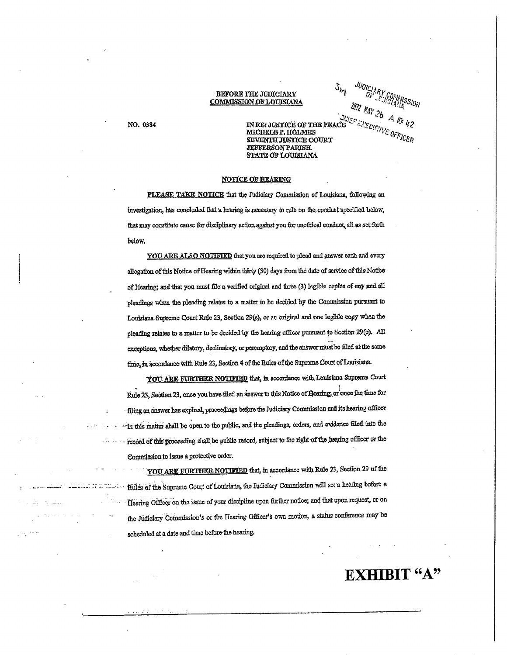#### BEFORE THE JUDICIARY **COMMISSION OF LOUISIANA**

NO. 0384

IN RE: JUSTICE OF THE PEAC MICHELE P. HOLMES SEVENTH JUSTICE COURT **JEFFERSON PARISH.** STATE OF LOUISIANA

 $\mathcal{S}_{\mathcal{H}_{\vec{l}}} = \underbrace{\mathcal{W} \mathcal{Y} \mathcal{Y} \mathcal{Y} \mathcal{Y} \mathcal{Y} \mathcal{Y} \mathcal{Y} \mathcal{Y} \mathcal{Y} \mathcal{Y} \mathcal{Y} \mathcal{Y} \mathcal{Y} \mathcal{Y} \mathcal{Y} \mathcal{Y} \mathcal{Y} \mathcal{Y} \mathcal{Y} \mathcal{Y} \mathcal{Y} \mathcal{Y} \mathcal{Y} \mathcal{Y} \mathcal{Y} \mathcal{Y} \mathcal{Y} \mathcal{Y} \mathcal{Y} \mathcal{Y} \mathcal{Y} \mathcal{Y} \math$ 

2022 RAY 26 A 10:42

#### **NOTICE OF HEARING**

PLEASE TAKE NOTICE that the Judiciary Commission of Louisiana, following an investigation, has concluded that a hearing is necessary to rule on the conduct specified below, that may constitute cause for disciplinary action against you for unethical conduct, all as set forth below.

YOU ARE ALSO NOTIFIED that you are required to plead and answer each and every allogation of this Notice of Hearing within thirty (30) days from the date of service of this Notice of Hearing; and that you must file a verified original and three (3) legible copies of any and all pleadings when the pleading relates to a matter to be decided by the Commission pursuant to Louisiana Supreme Court Rule 23, Section 29(c), or an original and one legible copy when the pleading relates to a matter to be decided by the hearing officer pursuant to Section 29(c). All exceptions, whether dilatory, declinatory, or peremptory, and the answer must be filed at the same time, in accordance with Rule 23, Section 4 of the Rules of the Suprome Court of Louisiana.

YOU ARE FURTHER NOTIFIED that, in accordance with Louisiana Supteme Court Rule 23, Section 23, once you have filed an answer to this Notice of Hoaring, or once the time for filing an answer has expired, proceedings before the Judiciary Commission and its hearing officer in this matter shall be open to the public, and the pleadings, orders, and evidence filed into the record of this proceeding shall be public record, subject to the right of the hearing officer or the Commission to issue a protective order.

YOU ARE FURTHER NOTIFIED that, in accordance with Rule 23, Section 29 of the Rules of the Suprome Court of Louisiana, the Judiciary Commission will set a hearing bofore a Hearing Officer on the issue of your discipline upon further notice; and that upon request, or on the Judiciary Commission's or the Hearing Officer's own motion, a status conference may be scheduled at a date and time before the hearing.

## **EXHIBIT "A"**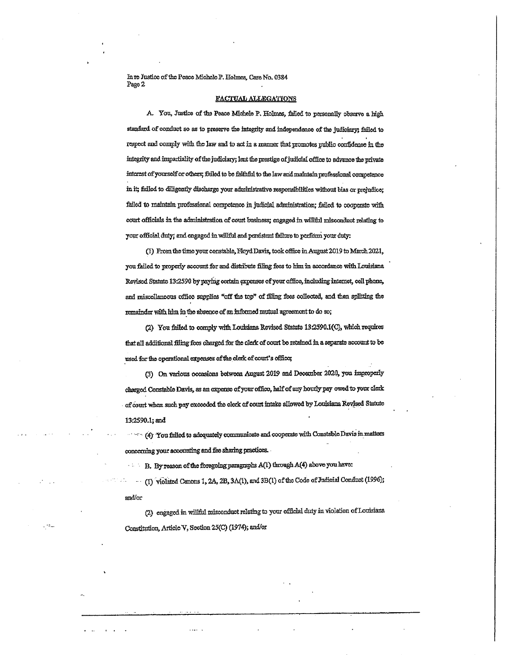In re Justice of the Peace Michele P. Holmes, Case No. 0384 Page 2

#### FACTUAL ALLEGATIONS

A. You, Justice of the Peace Michele P. Holmes, failed to personally observe a high standard of conduct so as to preserve the integrity and independence of the judiciary; failed to respect and comply with the law and to act in a manner that promotes public confidence in the integrity and impartiality of the judiciary; lent the prestige of judicial office to advance the private interest of yourself or others; failed to be faithful to the law and maintain professional competence in it; failed to diligently discharge your administrative responsibilities without bias or prejudice; failed to maintain professional competence in judicial administration; failed to cooperate with court officials in the administration of court business; engaged in willful misconduct relating to your official duty; and engaged in willful and persistent failure to perform your duty:

(1) From the time your constable, Floyd Davis, took office in August 2019 to March 2021, you failed to properly account for and distribute filing fees to him in accordance with Louisiana Revised Statute 13:2590 by paying certain expenses of your office, including internet, cell phone, and miscellaneous office supplies "off the top" of filing fees collected, and then splitting the remainder with him in the absence of an informed mutual agreement to do so;

(2) You failed to comply with Louisiana Revised Statute 13:2590.1(C), which requires that all additional filing fees charged for the clerk of court be retained in a separate account to be used for the operational expenses of the clerk of court's office;

(3) On various occasions between August 2019 and December 2020, you improperly charged Constable Davis, as an expense of your office, half of any hourly pay owed to your clerk of court when such pay exceeded the clerk of court intake allowed by Louisiana Revised Statute 13:2590.1; and

(4) You failed to adequately communicate and cooperate with Constable Davis in matters concerning your accounting and fee sharing practices.

B. By reason of the foregoing paragraphs A(1) through A(4) above you have:

ma .

(1) violated Canons 1, 2A, 2B, 3A(1), and 3B(1) of the Code of Judicial Conduct (1996);  $\sim$   $\sim$ and/or

(2) engaged in willful misconduct relating to your official duty in violation of Louisiana Constitution, Article V, Section 25(C) (1974); and/or